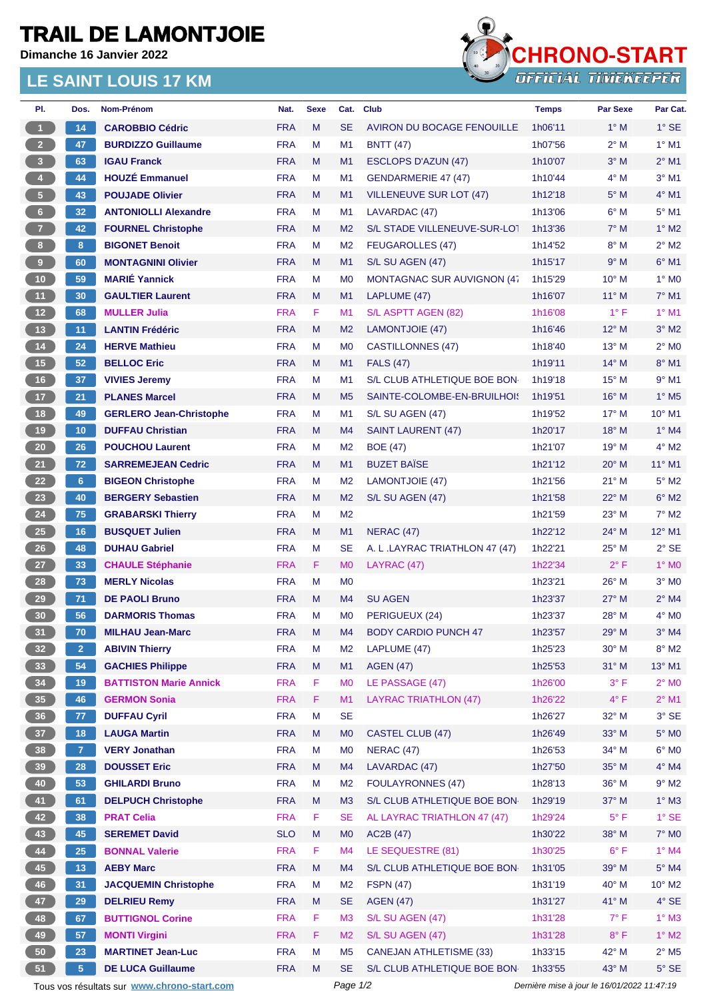## **TRAIL DE LAMONTJOIE**

**Dimanche 16 Janvier 2022**

## **LE SAINT LOUIS 17 KM**



| PI.                     | Dos.           | <b>Nom-Prénom</b>              | Nat.       | <b>Sexe</b> | Cat.           | <b>Club</b>                    | <b>Temps</b> | <b>Par Sexe</b> | Par Cat.                 |
|-------------------------|----------------|--------------------------------|------------|-------------|----------------|--------------------------------|--------------|-----------------|--------------------------|
| $\overline{1}$          | 14             | <b>CAROBBIO Cédric</b>         | <b>FRA</b> | M           | <b>SE</b>      | AVIRON DU BOCAGE FENOUILLE     | 1h06'11      | $1^\circ$ M     | $1^\circ$ SE             |
| 2 <sup>2</sup>          | 47             | <b>BURDIZZO Guillaume</b>      | <b>FRA</b> | М           | M <sub>1</sub> | <b>BNTT</b> (47)               | 1h07'56      | $2^{\circ}$ M   | $1^\circ$ M1             |
| $\overline{\mathbf{3}}$ | 63             | <b>IGAU Franck</b>             | <b>FRA</b> | M           | M1             | <b>ESCLOPS D'AZUN (47)</b>     | 1h10'07      | $3°$ M          | $2^{\circ}$ M1           |
| 4 <sup>1</sup>          | 44             | <b>HOUZÉ Emmanuel</b>          | <b>FRA</b> | М           | M1             | <b>GENDARMERIE 47 (47)</b>     | 1h10'44      | $4^\circ$ M     | $3°$ M1                  |
| 5 <sup>2</sup>          | 43             | <b>POUJADE Olivier</b>         | <b>FRA</b> | M           | M1             | VILLENEUVE SUR LOT (47)        | 1h12'18      | $5^\circ$ M     | $4^\circ$ M1             |
| 6 <sup>1</sup>          | 32             | <b>ANTONIOLLI Alexandre</b>    | <b>FRA</b> | M           | M1             | LAVARDAC (47)                  | 1h13'06      | $6^\circ$ M     | $5^{\circ}$ M1           |
| 7 <sup>2</sup>          | 42             | <b>FOURNEL Christophe</b>      | <b>FRA</b> | M           | M <sub>2</sub> | S/L STADE VILLENEUVE-SUR-LOT   | 1h13'36      | $7^\circ$ M     | $1^\circ$ M2             |
| 8                       | 8              | <b>BIGONET Benoit</b>          | <b>FRA</b> | м           | M <sub>2</sub> | <b>FEUGAROLLES (47)</b>        | 1h14'52      | $8^\circ$ M     | $2^{\circ}$ M2           |
| 9 <sup>1</sup>          | 60             | <b>MONTAGNINI Olivier</b>      | <b>FRA</b> | M           | M1             | S/L SU AGEN (47)               | 1h15'17      | 9° M            | $6°$ M1                  |
| 10 <sup>°</sup>         | 59             | <b>MARIÉ Yannick</b>           | <b>FRA</b> | м           | M <sub>0</sub> | MONTAGNAC SUR AUVIGNON (47     | 1h15'29      | $10^{\circ}$ M  | $1^\circ$ MO             |
| 11                      | 30             | <b>GAULTIER Laurent</b>        | <b>FRA</b> | M           | M1             | LAPLUME (47)                   | 1h16'07      | $11^{\circ}$ M  | $7°$ M1                  |
| 12                      | 68             | <b>MULLER Julia</b>            | <b>FRA</b> | F.          | M1             | S/L ASPTT AGEN (82)            | 1h16'08      | $1^{\circ}$ F   | $1^\circ$ M1             |
| 13                      | 11             | <b>LANTIN Frédéric</b>         | <b>FRA</b> | M           | M <sub>2</sub> | LAMONTJOIE (47)                | 1h16'46      | $12^{\circ}$ M  | $3^\circ$ M2             |
| $14$                    | 24             | <b>HERVE Mathieu</b>           | <b>FRA</b> | м           | M <sub>0</sub> | <b>CASTILLONNES (47)</b>       | 1h18'40      | $13^{\circ}$ M  | $2^{\circ}$ MO           |
| 15                      | 52             | <b>BELLOC Eric</b>             | <b>FRA</b> | M           | M1             | <b>FALS (47)</b>               | 1h19'11      | $14^{\circ}$ M  | 8° M1                    |
| 16                      | 37             | <b>VIVIES Jeremy</b>           | <b>FRA</b> | м           | M <sub>1</sub> | S/L CLUB ATHLETIQUE BOE BON    | 1h19'18      | $15^{\circ}$ M  | $9°$ M1                  |
| 17 <sup>2</sup>         | 21             | <b>PLANES Marcel</b>           | <b>FRA</b> | M           | M <sub>5</sub> | SAINTE-COLOMBE-EN-BRUILHOI!    | 1h19'51      | $16^{\circ}$ M  | $1^\circ$ M <sub>5</sub> |
| 18                      | 49             | <b>GERLERO Jean-Christophe</b> | <b>FRA</b> | М           | M <sub>1</sub> | S/L SU AGEN (47)               | 1h19'52      | $17^\circ$ M    | $10^{\circ}$ M1          |
| 19                      | 10             | <b>DUFFAU Christian</b>        | <b>FRA</b> | M           | M <sub>4</sub> | <b>SAINT LAURENT (47)</b>      | 1h20'17      | 18° M           | $1^\circ$ M4             |
| 20 <sub>2</sub>         | 26             | <b>POUCHOU Laurent</b>         | <b>FRA</b> | М           | M <sub>2</sub> | <b>BOE (47)</b>                | 1h21'07      | $19^{\circ}$ M  | $4^{\circ}$ M2           |
| 21                      | 72             | <b>SARREMEJEAN Cedric</b>      | <b>FRA</b> | M           | M1             | <b>BUZET BAÏSE</b>             | 1h21'12      | $20^\circ$ M    | 11° M1                   |
| 22                      | 6 <sup>1</sup> | <b>BIGEON Christophe</b>       | <b>FRA</b> | М           | M <sub>2</sub> | LAMONTJOIE (47)                | 1h21'56      | $21^{\circ}$ M  | $5^\circ$ M2             |
| 23                      | 40             | <b>BERGERY Sebastien</b>       | <b>FRA</b> | M           | M <sub>2</sub> | S/L SU AGEN (47)               | 1h21'58      | $22^{\circ}$ M  | $6^\circ$ M2             |
| 24                      | 75             | <b>GRABARSKI Thierry</b>       | <b>FRA</b> | М           | M <sub>2</sub> |                                | 1h21'59      | $23^\circ$ M    | $7^\circ$ M2             |
| <b>25</b>               | 16             | <b>BUSQUET Julien</b>          | <b>FRA</b> | M           | M1             | <b>NERAC (47)</b>              | 1h22'12      | $24^{\circ}$ M  | 12° M1                   |
| 26                      | 48             | <b>DUHAU Gabriel</b>           | <b>FRA</b> | М           | <b>SE</b>      | A. L. LAYRAC TRIATHLON 47 (47) | 1h22'21      | $25^{\circ}$ M  | $2°$ SE                  |
| 27                      | 33             | <b>CHAULE Stéphanie</b>        | <b>FRA</b> | F.          | M <sub>0</sub> | LAYRAC (47)                    | 1h22'34      | $2^{\circ}$ F   | $1^\circ$ MO             |
| 28                      | 73             | <b>MERLY Nicolas</b>           | <b>FRA</b> | M           | M <sub>0</sub> |                                | 1h23'21      | 26° M           | $3°$ MO                  |
| 29                      | 71             | <b>DE PAOLI Bruno</b>          | <b>FRA</b> | M           | M4             | <b>SU AGEN</b>                 | 1h23'37      | $27^\circ$ M    | $2^{\circ}$ M4           |
| 30                      | 56             | <b>DARMORIS Thomas</b>         | <b>FRA</b> | M           | M <sub>0</sub> | PERIGUEUX (24)                 | 1h23'37      | 28° M           | $4^\circ$ MO             |
| 31)                     | 70             | <b>MILHAU Jean-Marc</b>        | <b>FRA</b> | м           | M4             | <b>BODY CARDIO PUNCH 47</b>    | 1h23'57      | 29° M           | $3°$ M4                  |
| 32 <sub>2</sub>         | 2 <sup>1</sup> | <b>ABIVIN Thierry</b>          | <b>FRA</b> | М           | M <sub>2</sub> | LAPLUME (47)                   | 1h25'23      | 30° M           | $8^\circ$ M2             |
| 33                      | 54             | <b>GACHIES Philippe</b>        | <b>FRA</b> | M           | M1             | <b>AGEN (47)</b>               | 1h25'53      | $31^\circ$ M    | 13° M1                   |
| 34                      | 19             | <b>BATTISTON Marie Annick</b>  | <b>FRA</b> | F           | M <sub>0</sub> | LE PASSAGE (47)                | 1h26'00      | $3^{\circ}$ F   | $2^{\circ}$ MO           |
| 35 <sub>1</sub>         | 46             | <b>GERMON Sonia</b>            | <b>FRA</b> | F           | M1             | <b>LAYRAC TRIATHLON (47)</b>   | 1h26'22      | $4^{\circ}$ F   | $2^{\circ}$ M1           |
| 36                      | 77             | <b>DUFFAU Cyril</b>            | <b>FRA</b> | М           | <b>SE</b>      |                                | 1h26'27      | 32° M           | $3^\circ$ SE             |
| 37 <sup>°</sup>         | 18             | <b>LAUGA Martin</b>            | <b>FRA</b> | M           | M <sub>0</sub> | <b>CASTEL CLUB (47)</b>        | 1h26'49      | 33° M           | $5^\circ$ MO             |
| 38                      | $\overline{7}$ | <b>VERY Jonathan</b>           | <b>FRA</b> | M           | M <sub>0</sub> | <b>NERAC (47)</b>              | 1h26'53      | $34^{\circ}$ M  | $6^\circ$ MO             |
| 39                      | 28             | <b>DOUSSET Eric</b>            | <b>FRA</b> | M           | M4             | LAVARDAC (47)                  | 1h27'50      | 35° M           | $4^\circ$ M4             |
| 40                      | 53             | <b>GHILARDI Bruno</b>          | <b>FRA</b> | М           | M <sub>2</sub> | <b>FOULAYRONNES (47)</b>       | 1h28'13      | 36° M           | $9^\circ$ M2             |
| 41                      | 61             | <b>DELPUCH Christophe</b>      | <b>FRA</b> | M           | M <sub>3</sub> | S/L CLUB ATHLETIQUE BOE BON    | 1h29'19      | 37° M           | $1^\circ$ M3             |
| 42                      | 38             | <b>PRAT Celia</b>              | <b>FRA</b> | F           | <b>SE</b>      | AL LAYRAC TRIATHLON 47 (47)    | 1h29'24      | $5^{\circ}$ F   | $1^\circ$ SE             |
| 43                      | 45             | <b>SEREMET David</b>           | <b>SLO</b> | M           | M <sub>0</sub> | AC2B (47)                      | 1h30'22      | 38° M           | $7^\circ$ MO             |
| 44                      | 25             | <b>BONNAL Valerie</b>          | <b>FRA</b> | F           | M <sub>4</sub> | LE SEQUESTRE (81)              | 1h30'25      | $6^{\circ}$ F   | $1^\circ$ M4             |
| 45                      | 13             | <b>AEBY Marc</b>               | <b>FRA</b> | M           | M4             | S/L CLUB ATHLETIQUE BOE BON    | 1h31'05      | 39° M           | $5^\circ$ M4             |
| 46                      | 31             | <b>JACQUEMIN Christophe</b>    | <b>FRA</b> | М           | M <sub>2</sub> | <b>FSPN (47)</b>               | 1h31'19      | 40° M           | 10° M2                   |
| 47                      | 29             | <b>DELRIEU Remy</b>            | <b>FRA</b> | M           | <b>SE</b>      | <b>AGEN (47)</b>               | 1h31'27      | 41° M           | $4^\circ$ SE             |
| 48                      | 67             | <b>BUTTIGNOL Corine</b>        | <b>FRA</b> | F           | M <sub>3</sub> | S/L SU AGEN (47)               | 1h31'28      | $7^\circ$ F     | $1^\circ$ M3             |
| 49                      | 57             | <b>MONTI Virgini</b>           | <b>FRA</b> | F           | M <sub>2</sub> | S/L SU AGEN (47)               | 1h31'28      | $8^{\circ}$ F   | $1^\circ$ M2             |
| $50\,$                  | 23             | <b>MARTINET Jean-Luc</b>       | <b>FRA</b> | М           | M <sub>5</sub> | <b>CANEJAN ATHLETISME (33)</b> | 1h33'15      | 42° M           | $2^{\circ}$ M5           |
| 51                      | 5 <sup>1</sup> | <b>DE LUCA Guillaume</b>       | <b>FRA</b> | M           | <b>SE</b>      | S/L CLUB ATHLETIQUE BOE BON    | 1h33'55      | 43° M           | $5^{\circ}$ SE           |

Tous vos résultats sur **[www.chrono-start.com](https://www.chrono-start.com/)** Page 1/2 Dernière mise à jour le 16/01/2022 11:47:19